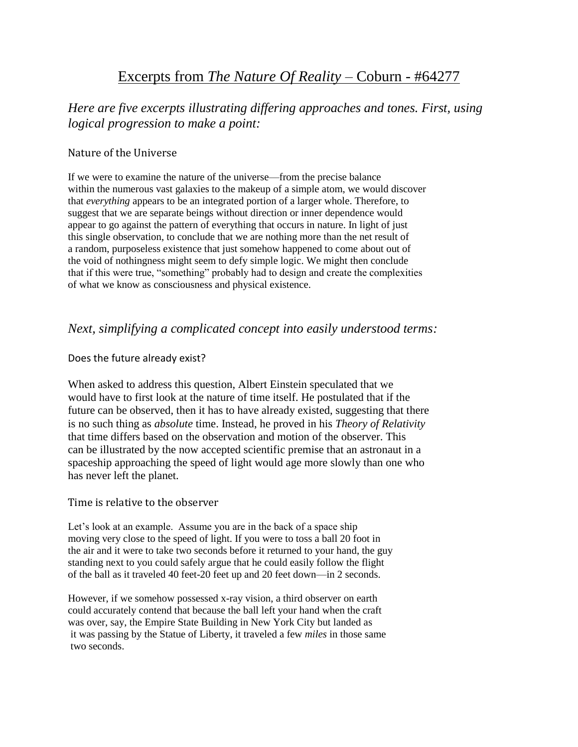# Excerpts from *The Nature Of Reality* – Coburn - #64277

## *Here are five excerpts illustrating differing approaches and tones. First, using logical progression to make a point:*

## Nature of the Universe

If we were to examine the nature of the universe—from the precise balance within the numerous vast galaxies to the makeup of a simple atom, we would discover that *everything* appears to be an integrated portion of a larger whole. Therefore, to suggest that we are separate beings without direction or inner dependence would appear to go against the pattern of everything that occurs in nature. In light of just this single observation, to conclude that we are nothing more than the net result of a random, purposeless existence that just somehow happened to come about out of the void of nothingness might seem to defy simple logic. We might then conclude that if this were true, "something" probably had to design and create the complexities of what we know as consciousness and physical existence.

## *Next, simplifying a complicated concept into easily understood terms:*

## Does the future already exist?

When asked to address this question, Albert Einstein speculated that we would have to first look at the nature of time itself. He postulated that if the future can be observed, then it has to have already existed, suggesting that there is no such thing as *absolute* time. Instead, he proved in his *Theory of Relativity* that time differs based on the observation and motion of the observer. This can be illustrated by the now accepted scientific premise that an astronaut in a spaceship approaching the speed of light would age more slowly than one who has never left the planet.

## Time is relative to the observer

Let's look at an example. Assume you are in the back of a space ship moving very close to the speed of light. If you were to toss a ball 20 foot in the air and it were to take two seconds before it returned to your hand, the guy standing next to you could safely argue that he could easily follow the flight of the ball as it traveled 40 feet-20 feet up and 20 feet down—in 2 seconds.

However, if we somehow possessed x-ray vision, a third observer on earth could accurately contend that because the ball left your hand when the craft was over, say, the Empire State Building in New York City but landed as it was passing by the Statue of Liberty, it traveled a few *miles* in those same two seconds.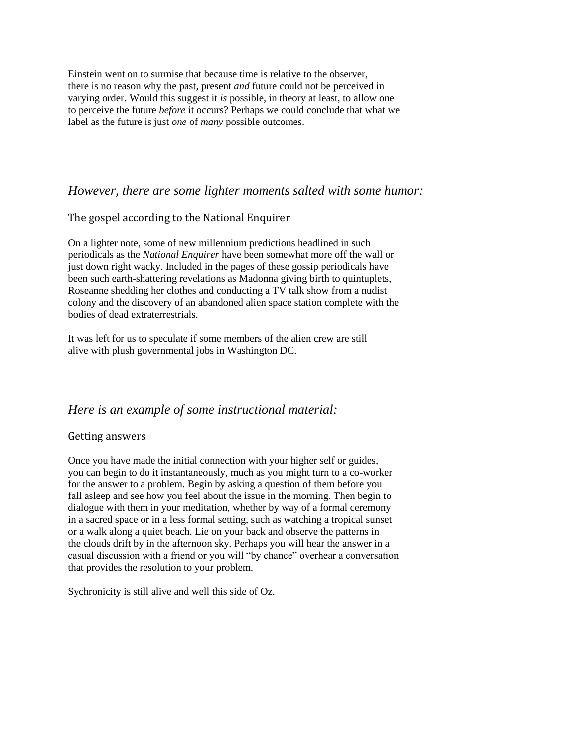Einstein went on to surmise that because time is relative to the observer, there is no reason why the past, present *and* future could not be perceived in varying order. Would this suggest it *is* possible, in theory at least, to allow one to perceive the future *before* it occurs? Perhaps we could conclude that what we label as the future is just *one* of *many* possible outcomes.

## *However, there are some lighter moments salted with some humor:*

## The gospel according to the National Enquirer

On a lighter note, some of new millennium predictions headlined in such periodicals as the *National Enquirer* have been somewhat more off the wall or just down right wacky. Included in the pages of these gossip periodicals have been such earth-shattering revelations as Madonna giving birth to quintuplets, Roseanne shedding her clothes and conducting a TV talk show from a nudist colony and the discovery of an abandoned alien space station complete with the bodies of dead extraterrestrials.

It was left for us to speculate if some members of the alien crew are still alive with plush governmental jobs in Washington DC.

## *Here is an example of some instructional material:*

#### Getting answers

Once you have made the initial connection with your higher self or guides, you can begin to do it instantaneously, much as you might turn to a co-worker for the answer to a problem. Begin by asking a question of them before you fall asleep and see how you feel about the issue in the morning. Then begin to dialogue with them in your meditation, whether by way of a formal ceremony in a sacred space or in a less formal setting, such as watching a tropical sunset or a walk along a quiet beach. Lie on your back and observe the patterns in the clouds drift by in the afternoon sky. Perhaps you will hear the answer in a casual discussion with a friend or you will "by chance" overhear a conversation that provides the resolution to your problem.

Sychronicity is still alive and well this side of Oz.